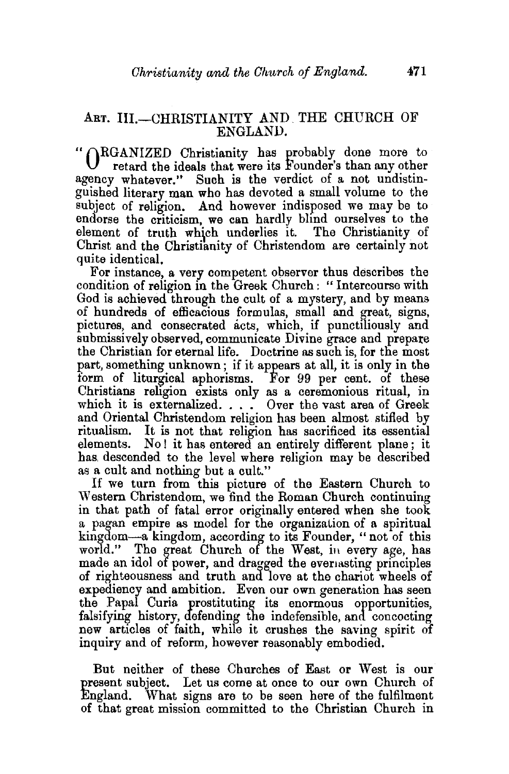## ART. III.-CHRISTIANITY AND THE CHURCH OF ENGLAND.

" (RGANIZED Christianity has probably done more to retard the ideals that were its Founder's than any other agency whatever." Such is the verdict of a not undistinguished literary man who has devoted a small volume to the subject of religion. And however indisposed we may be to endorse the criticism, we can hardly blind ourselves to the element of truth which underlies it. The Christianity of Christ and the Christianity of Christendom are certainly not quite identical.

For instance, a very competent observer thus describes the condition of religion in the Greek Church: "Intercourse with God is achieved through the cult of a mystery, and by means of hundreds of efficacious formulas, small and great, signs, pictures, and consecrated acts, which, if punctiliously and submissively observed, communicate Divine grace and prepare the Christian for eternal life. Doctrine as such is, for the most part, something unknown ; if it appears at all, it is only in the form of liturgical aphorisms. For 99 per cent. of these Christians religion exists only as a ceremonious ritual, in which it is externalized. . . . Over the vast area of Greek and Oriental Christendom religion has been almost stifled by ritualism. It is not that religion has sacrificed its essential elements. No! it has entered an entirely different plane; it has. descended to the level where religion may be described as a cult and nothing but a cult."

If we turn from this picture of the Eastern Church to Western Christendom, we find the Roman Church continuing in that path of fatal error originally entered when she took a pagan empire as model for the organization of a spiritual kingdom-a kingdom, according to its Founder, "not of this world." The great Church of the West, in every age, has made an idol of power, and dragged the evertasting principles of righteousness and truth and love at the chariot wheels of expediency and ambition. Even our own generation has seen the Papal Curia prostituting its enormous opportunities, falsifying history, defending the indefensible, and concocting new articles of faith, while it crushes the saving spirit of inquiry and of reform, however reasonably embodied.

But neither of these Churches of East or West is our present subject. Let us come at once to our own Church of England. What signs are to be seen here of the fulfilment of that great mission committed to the Christian Church in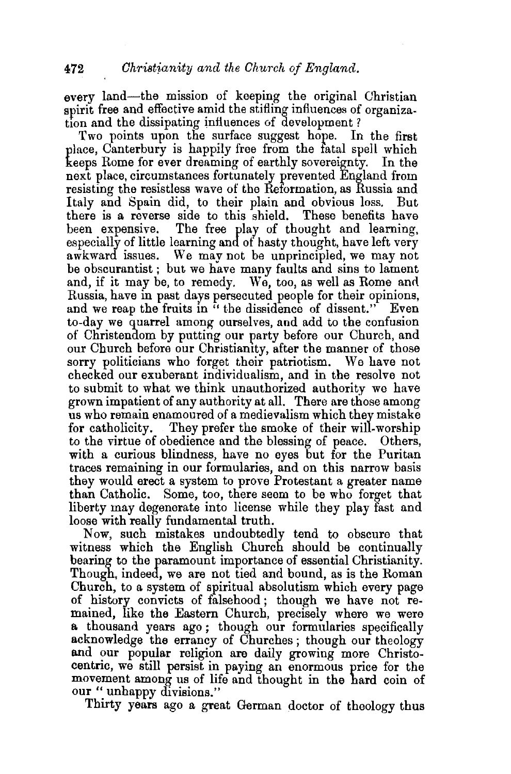every land-the mission of keeping the original Christian spirit free and effective amid the stifling influences of organization and the dissipating influences of development?

Two points upon the surface suggest hope. In the first place, Canterbury is happily free from the fatal spell which keeps Rome for ever dreaming of earthly sovereignty. In the next place, circumstances fortunately prevented England from resisting the resistless wave of the Reformation, as Russia and Italy and Spain did, to their plain and obvious loss. But there is a reverse side to this shield. These benefits have been expensive. The free play of thought and learning, especially of little learning and of hasty thought, have left very awkward issues. We mav not be unprincipled, we may not be obscurantist ; but we have many faults and sins to lament and, if it may be, to remedy. We, too, as well as Rome and Russia, have in past days persecuted people for their opinions, and we reap the fruits in "the dissidence of dissent." Even to-day we quarrel among ourselves, and add to the confusion of Christendom by putting our party before our Church, and our Church before our Christiamty, after the manner of those sorry politicians who forget their patriotism. We have not checked our exuberant individualism, and in the resolve not to submit to what we think unauthorized authority we have grown impatient of any authority at all. There are those among us who remain enamoured of a medievalism which they mistake<br>for catholicity. They prefer the smoke of their will-worship They prefer the smoke of their will-worship to the virtue of obedience and the blessing of peace. Others, with a curious blindness, have no eyes but for the Puritan traces remaining in our formularies, and on this narrow basis they would erect a system to prove Protestant a greater name than Catholic. Some, too, there seem to be who forget that liberty may degenerate into license while they play fast and loose with really fundamental truth.

Now, such mistakes undoubtedly tend to obscure that witness which the English Church should be continually bearing to the paramount importance of essential Christianity. Though, indeed, we are not tied and bound, as is the Roman Church, to a system of spiritual absolutism which every page of history convicts of falsehood ; though we have not remained, like the Eastern Church, precisely where we were a thousand years ago ; though our formularies specifically acknowledge the errancy of Churches ; though our theology and our popular religion are daily growing more Christocentric, we still persist in paying an enormous price for the movement among us of life and thought in the hard coin of our "unhappy divisions."

Thirty years ago a great German doctor of theology thus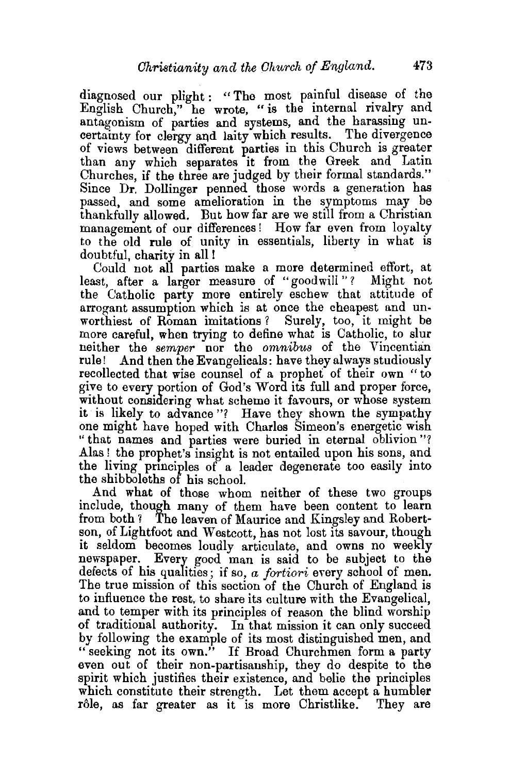diagnosed our plight : " The most painful disease of the English Church," he wrote, " is the internal rivalry and antagonism of parties and systems, and the harassing uncertainty for clergy and laity which results. The divergence of views between different parties in this Church is greater than any which separates it from the Greek and Latin Churches, if the three are judged by their formal standards." Since Dr. Dollinger penned those words a generation has passed, and some amelioration in the symptoms may be thankfully allowed. But how far are we still from a Christian management of our differences! How far even from loyalty to the old rule of unity in essentials, liberty in what is doubtful, charity in all!

Could not all parties make a more determined effort, at least, after a larger measure of "goodwill"? Might not the Catholic party more entirely eschew that attitude of arrogant assumption which is at once the cheapest and unworthiest of Roman imitations? Surely, too, it might be more careful, when trying to define what is Catholic, to slur neither the *semper* nor the *omnibus* of the Vincentian rule! And then the Evangelicals: have they always studiously recollected that wise counsel of a prophet of their own " to give to every portion of God's Wora its full and proper force, without considering what scheme it favours, or whose system it is likely to advance"? Have they shown the sympathy one might have hoped with Charles Simeon's energetic wish "that names and parties were buried in eternal oblivion"? Alas ! the prophet's insight is not entailed upon his sons, and the living prmciples of a leader degenerate too easily into the shibboleths of his school.

And what of those whom neither of these two groups include, though many of them have been content to learn from both 1 The leaven of Maurice and Kingsley and Robert· son, of Lightfoot and Westcott, has not lost its savour, though it seldom becomes loudly articulate, and owns no weekly newspaper. Every good man is said to be subject to the defects of his qualities; if so, *a fortiori* every school of men. The true mission of this section of the Church of England is to influence the rest, to share its culture with the Evangelical, and to temper with its principles of reason the blind worship of traditional authority. In that mission it can only succeed by following the example of its most distinguished men, and "seeking not its own." If Broad Churchmen form a party even out of their non-partisanship, they do despite to the spirit which justifies their existence, and belie the principles which constitute their strength. Let them accept a humbler rôle, as far greater as it is more Christlike. They are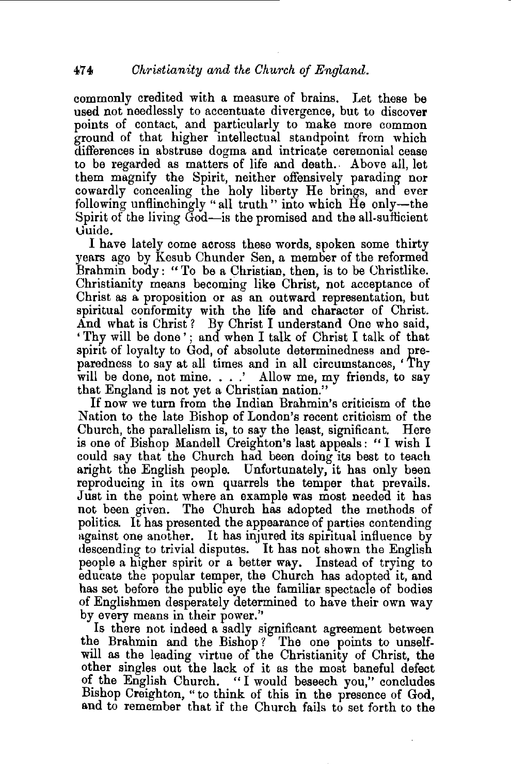commonly credited with a measure of brains. Let these be used not needlessly to accentuate divergence, but to discover points of contact, and particularly to make more common ground of that higher intellectual standpoint from which differences in abstruse dogma and intricate ceremonial cease to be regarded as matters of life and death. Above all, let them magnify the Spirit, neither offensively parading nor cowardly concealing the holy liberty He brings, and ever following unflinchingly "all truth" into which He only-the Spirit of the living God-is the promised and the all-sufficient Guide.

I have lately come across these words, spoken some thirty years ago by Kesub Chunder Sen, a member of the reformed Brahmin body : "To be a Christian, then, is to be Christlike. Christianity means becoming like Christ, not acceptance of Christ as a proposition or as an outward representation, but spiritual conformity with the life and character of Christ. And what is Christ? By Christ I understand One who said, 'Thy will be done'; and when I talk of Christ I talk of that spirit of loyalty to God, of absolute determinedness and preparedness to say at all times and in all circumstances, 'Thy will be done, not mine. . . .' Allow me, my friends, to say that England is not yet a Christian nation."

If now we turn from the Indian Brahmin's criticism of the Nation to the late Bishop of London's recent criticism of the Church, the parallelism is, to say the least, significant. Here is one of Bishop Mandell Creighton's last appeals : "I wish I could say that the Church had been doing its best to teach aright the English people. Unfortunately, it has only been reproducing in its own quarrels the temper that prevails. Just in the point where an example was most needed it has not been given. The Church has adopted the methods of politics. It has presented the appearance of parties contending against one another. It has injured its spiritual influence by descending to trivial disputes. It has not shown the English people a higher spirit or a better way. Instead of trying to educate the popular temper, the Church has adopted it, and has set before the public eye the familiar spectacle of bodies of Englishmen desperately determined to have their own way by every means in their power.''

Is there not indeed a sadly significant agreement between the Brahmin and the Bishop ? The one points to unselfwill as the leading virtue of the Christianity of Christ, the other singles out the lack of it as the most baneful defect of the English Church. " I would beseech you," concludes Bishop Creighton, " to think of this in the presence of God, and to remember that if the Church fails to set forth to the